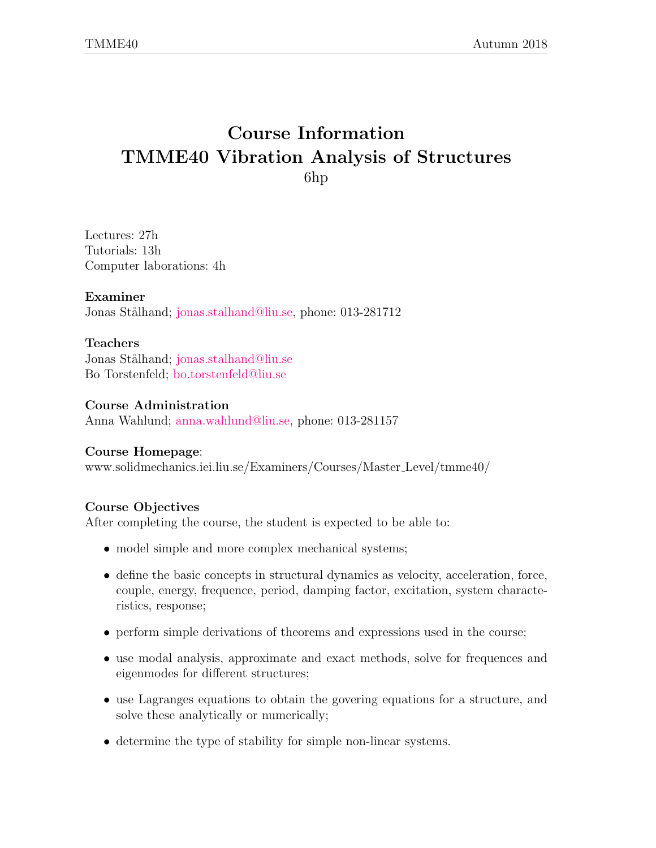# Course Information TMME40 Vibration Analysis of Structures 6hp

Lectures: 27h Tutorials: 13h Computer laborations: 4h

### Examiner

Jonas Stålhand; [jonas.stalhand@liu.se,](mailto:jonas.stalhand@liu.se) phone: 013-281712

### Teachers

Jonas Stålhand; [jonas.stalhand@liu.se](mailto:jonas.stalhand@liu.se) Bo Torstenfeld; [bo.torstenfeld@liu.se](mailto:bo.torstenfelt@liu.se)

Course Administration Anna Wahlund; [anna.wahlund@liu.se,](mailto:anna.wahlund@liu.se) phone: 013-281157

#### Course Homepage:

www.solidmechanics.iei.liu.se/Examiners/Courses/Master Level/tmme40/

### Course Objectives

After completing the course, the student is expected to be able to:

- model simple and more complex mechanical systems;
- define the basic concepts in structural dynamics as velocity, acceleration, force, couple, energy, frequence, period, damping factor, excitation, system characteristics, response;
- perform simple derivations of theorems and expressions used in the course;
- use modal analysis, approximate and exact methods, solve for frequences and eigenmodes for different structures;
- use Lagranges equations to obtain the govering equations for a structure, and solve these analytically or numerically;
- determine the type of stability for simple non-linear systems.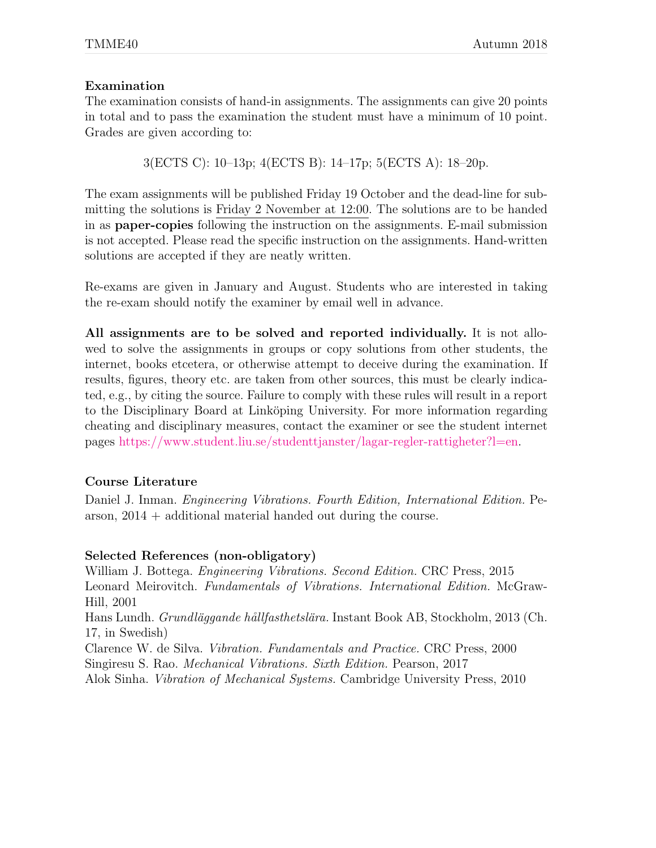### Examination

The examination consists of hand-in assignments. The assignments can give 20 points in total and to pass the examination the student must have a minimum of 10 point. Grades are given according to:

3(ECTS C): 10–13p; 4(ECTS B): 14–17p; 5(ECTS A): 18–20p.

The exam assignments will be published Friday 19 October and the dead-line for submitting the solutions is Friday 2 November at 12:00. The solutions are to be handed in as paper-copies following the instruction on the assignments. E-mail submission is not accepted. Please read the specific instruction on the assignments. Hand-written solutions are accepted if they are neatly written.

Re-exams are given in January and August. Students who are interested in taking the re-exam should notify the examiner by email well in advance.

All assignments are to be solved and reported individually. It is not allowed to solve the assignments in groups or copy solutions from other students, the internet, books etcetera, or otherwise attempt to deceive during the examination. If results, figures, theory etc. are taken from other sources, this must be clearly indicated, e.g., by citing the source. Failure to comply with these rules will result in a report to the Disciplinary Board at Linköping University. For more information regarding cheating and disciplinary measures, contact the examiner or see the student internet pages [https://www.student.liu.se/studenttjanster/lagar-regler-rattigheter?l=en.](https://www.student.liu.se/studenttjanster/lagar-regler-rattigheter?l=en)

### Course Literature

Daniel J. Inman. Engineering Vibrations. Fourth Edition, International Edition. Pearson, 2014 + additional material handed out during the course.

### Selected References (non-obligatory)

William J. Bottega. Engineering Vibrations. Second Edition. CRC Press, 2015 Leonard Meirovitch. Fundamentals of Vibrations. International Edition. McGraw-Hill, 2001 Hans Lundh. Grundläggande hållfasthetslära. Instant Book AB, Stockholm, 2013 (Ch. 17, in Swedish) Clarence W. de Silva. Vibration. Fundamentals and Practice. CRC Press, 2000 Singiresu S. Rao. Mechanical Vibrations. Sixth Edition. Pearson, 2017

Alok Sinha. Vibration of Mechanical Systems. Cambridge University Press, 2010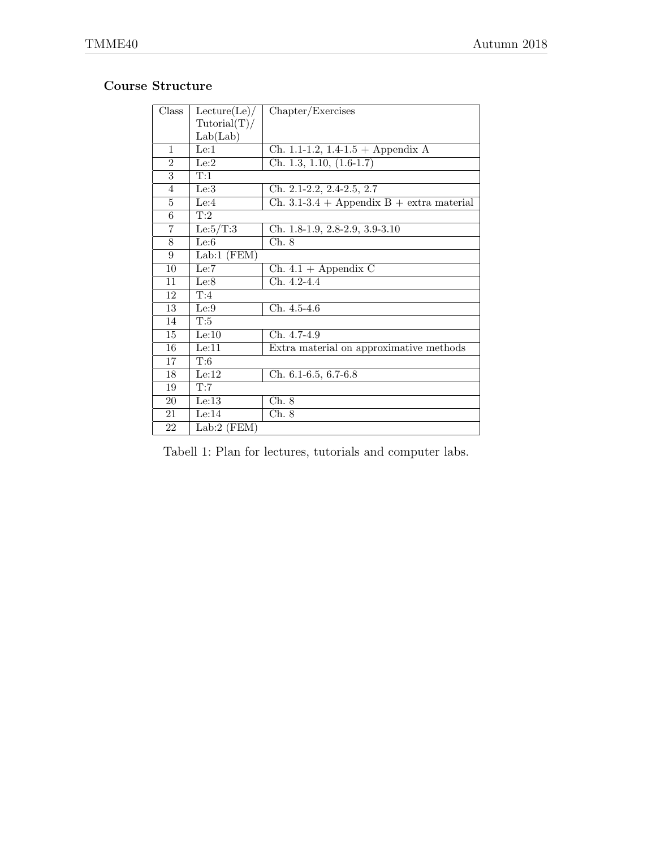## Course Structure

| Class          | Lecture(Le)/  | Chapter/Exercises                           |
|----------------|---------------|---------------------------------------------|
|                | Tutorial(T)/  |                                             |
|                | Lab(Lab)      |                                             |
| $\mathbf{1}$   | Le:1          | Ch. 1.1-1.2, 1.4-1.5 + Appendix A           |
| $\overline{2}$ | Le:2          | Ch. 1.3, 1.10, $(1.6-1.7)$                  |
| $\overline{3}$ | T:1           |                                             |
| $\overline{4}$ | Le:3          | Ch. 2.1-2.2, 2.4-2.5, 2.7                   |
| 5              | Le:4          | $Ch. 3.1-3.4 + Appendix B + extra material$ |
| $\,6\,$        | T:2           |                                             |
| 7              | Le: $5/T:3$   | Ch. 1.8-1.9, 2.8-2.9, 3.9-3.10              |
| 8              | Le:6          | Ch. 8                                       |
| $\overline{9}$ | $Lab:1$ (FEM) |                                             |
| 10             | Le:7          | $Ch. 4.1 + Appendix C$                      |
| 11             | Le:8          | Ch. 4.2-4.4                                 |
| 12             | T:4           |                                             |
| 13             | Le:9          | Ch. 4.5-4.6                                 |
| 14             | T:5           |                                             |
| 15             | Le:10         | Ch. 4.7-4.9                                 |
| 16             | Le:11         | Extra material on approximative methods     |
| 17             | T:6           |                                             |
| 18             | Le:12         | Ch. 6.1-6.5, 6.7-6.8                        |
| 19             | T:7           |                                             |
| 20             | Le:13         | Ch. 8                                       |
| 21             | Le:14         | Ch. 8                                       |
| 22             | $Lab:2$ (FEM) |                                             |

Tabell 1: Plan for lectures, tutorials and computer labs.